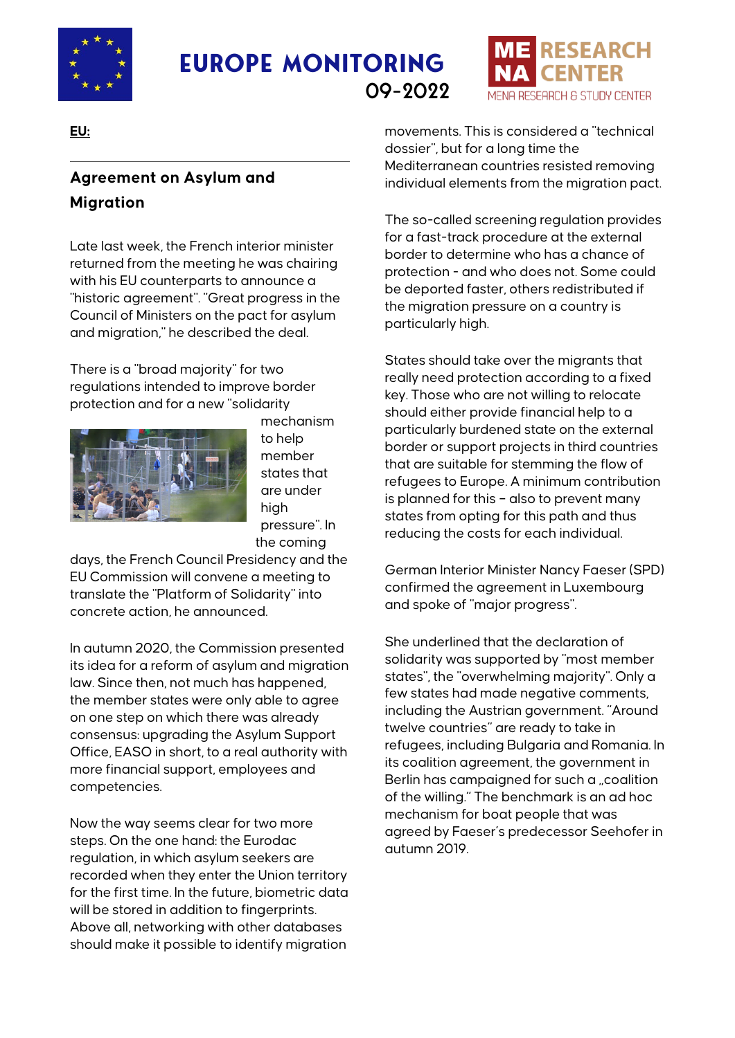

# **Europe Monitoring** 09-2022



**EU:**

## **Agreement on Asylum and Migration**

Late last week, the French interior minister returned from the meeting he was chairing with his EU counterparts to announce a "historic agreement". "Great progress in the Council of Ministers on the pact for asylum and migration," he described the deal.

There is a "broad majority" for two regulations intended to improve border protection and for a new "solidarity



mechanism to help member states that are under high pressure". In the coming

days, the French Council Presidency and the EU Commission will convene a meeting to translate the "Platform of Solidarity" into concrete action, he announced.

In autumn 2020, the Commission presented its idea for a reform of asylum and migration law. Since then, not much has happened, the member states were only able to agree on one step on which there was already consensus: upgrading the Asylum Support Office, EASO in short, to a real authority with more financial support, employees and competencies.

Now the way seems clear for two more steps. On the one hand: the Eurodac regulation, in which asylum seekers are recorded when they enter the Union territory for the first time. In the future, biometric data will be stored in addition to fingerprints. Above all, networking with other databases should make it possible to identify migration

movements. This is considered a "technical dossier", but for a long time the Mediterranean countries resisted removing individual elements from the migration pact.

The so-called screening regulation provides for a fast-track procedure at the external border to determine who has a chance of protection - and who does not. Some could be deported faster, others redistributed if the migration pressure on a country is particularly high.

States should take over the migrants that really need protection according to a fixed key. Those who are not willing to relocate should either provide financial help to a particularly burdened state on the external border or support projects in third countries that are suitable for stemming the flow of refugees to Europe. A minimum contribution is planned for this – also to prevent many states from opting for this path and thus reducing the costs for each individual.

German Interior Minister Nancy Faeser (SPD) confirmed the agreement in Luxembourg and spoke of "major progress".

She underlined that the declaration of solidarity was supported by "most member states", the "overwhelming majority". Only a few states had made negative comments, including the Austrian government. "Around twelve countries" are ready to take in refugees, including Bulgaria and Romania. In its coalition agreement, the government in Berlin has campaigned for such a "coalition of the willing." The benchmark is an ad hoc mechanism for boat people that was agreed by Faeser's predecessor Seehofer in autumn 2019.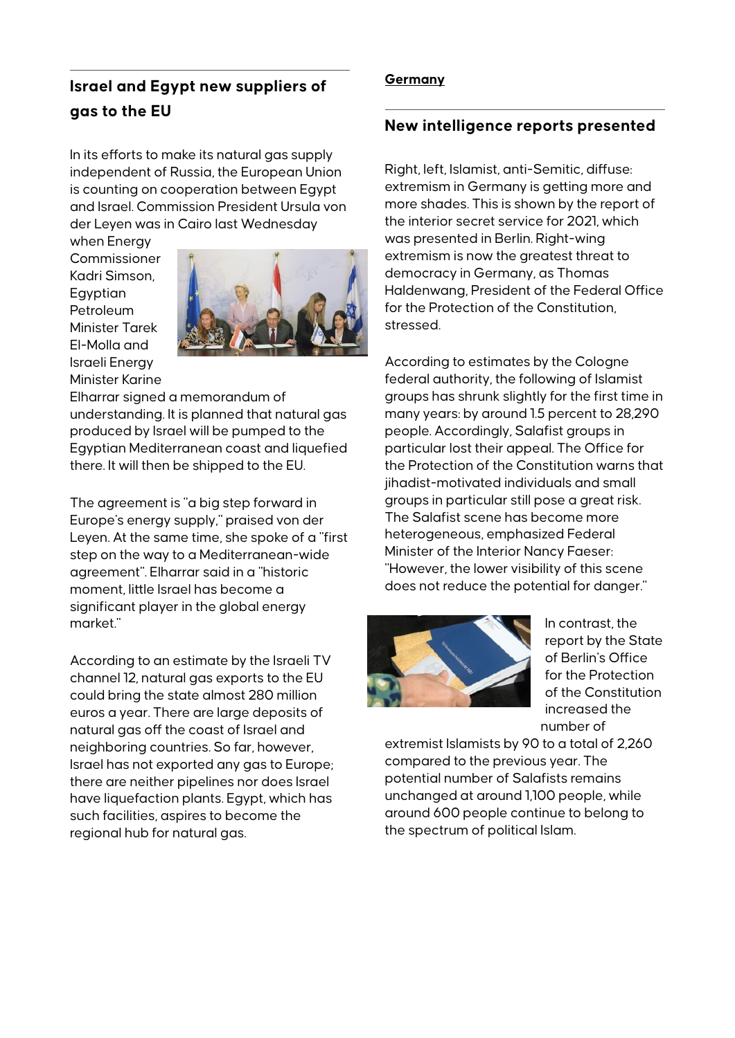### **Israel and Egypt new suppliers of gas to the EU**

In its efforts to make its natural gas supply independent of Russia, the European Union is counting on cooperation between Egypt and Israel. Commission President Ursula von der Leyen was in Cairo last Wednesday

when Energy **Commissioner** Kadri Simson, **E**gyptian Petroleum Minister Tarek El-Molla and Israeli Energy Minister Karine



Elharrar signed a memorandum of understanding. It is planned that natural gas produced by Israel will be pumped to the Egyptian Mediterranean coast and liquefied there. It will then be shipped to the EU.

The agreement is "a big step forward in Europe's energy supply," praised von der Leyen. At the same time, she spoke of a "first step on the way to a Mediterranean-wide agreement". Elharrar said in a "historic moment, little Israel has become a significant player in the global energy market."

According to an estimate by the Israeli TV channel 12, natural gas exports to the EU could bring the state almost 280 million euros a year. There are large deposits of natural gas off the coast of Israel and neighboring countries. So far, however, Israel has not exported any gas to Europe; there are neither pipelines nor does Israel have liquefaction plants. Egypt, which has such facilities, aspires to become the regional hub for natural gas.

#### **Germany**

#### **New intelligence reports presented**

Right, left, Islamist, anti-Semitic, diffuse: extremism in Germany is getting more and more shades. This is shown by the report of the interior secret service for 2021, which was presented in Berlin. Right-wing extremism is now the greatest threat to democracy in Germany, as Thomas Haldenwang, President of the Federal Office for the Protection of the Constitution, stressed.

According to estimates by the Cologne federal authority, the following of Islamist groups has shrunk slightly for the first time in many years: by around 1.5 percent to 28,290 people. Accordingly, Salafist groups in particular lost their appeal. The Office for the Protection of the Constitution warns that jihadist-motivated individuals and small groups in particular still pose a great risk. The Salafist scene has become more heterogeneous, emphasized Federal Minister of the Interior Nancy Faeser: "However, the lower visibility of this scene does not reduce the potential for danger."



In contrast, the report by the State of Berlin's Office for the Protection of the Constitution increased the number of

extremist Islamists by 90 to a total of 2,260 compared to the previous year. The potential number of Salafists remains unchanged at around 1,100 people, while around 600 people continue to belong to the spectrum of political Islam.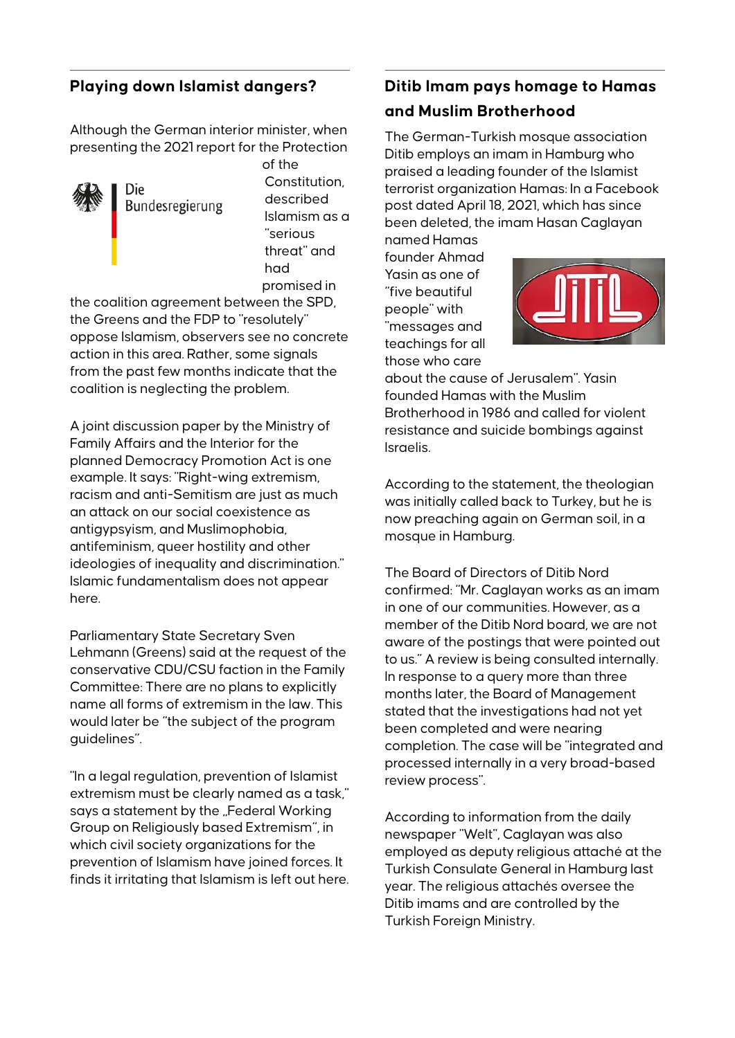### **Playing down Islamist dangers?**

Although the German interior minister, when presenting the 2021 report for the Protection



Die Bundesregierung of the Constitution, described Islamism as a "serious threat" and had promised in

the coalition agreement between the SPD, the Greens and the FDP to "resolutely" oppose Islamism, observers see no concrete action in this area. Rather, some signals from the past few months indicate that the coalition is neglecting the problem.

A joint discussion paper by the Ministry of Family Affairs and the Interior for the planned Democracy Promotion Act is one example. It says: "Right-wing extremism, racism and anti-Semitism are just as much an attack on our social coexistence as antigypsyism, and Muslimophobia, antifeminism, queer hostility and other ideologies of inequality and discrimination." Islamic fundamentalism does not appear here.

Parliamentary State Secretary Sven Lehmann (Greens) said at the request of the conservative CDU/CSU faction in the Family Committee: There are no plans to explicitly name all forms of extremism in the law. This would later be "the subject of the program guidelines".

"In a legal regulation, prevention of Islamist extremism must be clearly named as a task," says a statement by the "Federal Working Group on Religiously based Extremism", in which civil society organizations for the prevention of Islamism have joined forces. It finds it irritating that Islamism is left out here.

### **Ditib Imam pays homage to Hamas and Muslim Brotherhood**

The German-Turkish mosque association Ditib employs an imam in Hamburg who praised a leading founder of the Islamist terrorist organization Hamas: In a Facebook post dated April 18, 2021, which has since been deleted, the imam Hasan Caglayan

named Hamas founder Ahmad Yasin as one of "five beautiful people" with "messages and teachings for all those who care



about the cause of Jerusalem". Yasin founded Hamas with the Muslim Brotherhood in 1986 and called for violent resistance and suicide bombings against Israelis.

According to the statement, the theologian was initially called back to Turkey, but he is now preaching again on German soil, in a mosque in Hamburg.

The Board of Directors of Ditib Nord confirmed: "Mr. Caglayan works as an imam in one of our communities. However, as a member of the Ditib Nord board, we are not aware of the postings that were pointed out to us." A review is being consulted internally. In response to a query more than three months later, the Board of Management stated that the investigations had not yet been completed and were nearing completion. The case will be "integrated and processed internally in a very broad-based review process".

According to information from the daily newspaper "Welt", Caglayan was also employed as deputy religious attaché at the Turkish Consulate General in Hamburg last year. The religious attachés oversee the Ditib imams and are controlled by the Turkish Foreign Ministry.